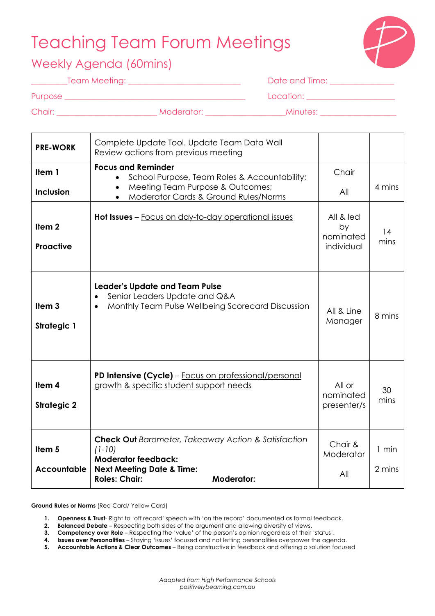# Teaching Team Forum Meetings



### Weekly Agenda (60mins)

| Team Meeting: _ |  |
|-----------------|--|
|                 |  |
|                 |  |

\_\_\_\_\_\_\_\_\_Team Meeting: \_\_\_\_\_\_\_\_\_\_\_\_\_\_\_\_\_\_\_\_\_\_\_\_\_\_\_\_ Date and Time: \_\_\_\_\_\_\_\_\_\_\_\_\_\_\_\_

| Location: |  |  |  |
|-----------|--|--|--|
|           |  |  |  |

Purpose \_\_\_\_\_\_\_\_\_\_\_\_\_\_\_\_\_\_\_\_\_\_\_\_\_\_\_\_\_\_\_\_\_\_\_\_\_\_\_\_\_\_\_\_\_ Location: \_\_\_\_\_\_\_\_\_\_\_\_\_\_\_\_\_\_\_\_\_\_

Chair: \_\_\_\_\_\_\_\_\_\_\_\_\_\_\_\_\_\_\_\_\_\_\_\_\_ Moderator: \_\_\_\_\_\_\_\_\_\_\_\_\_\_\_\_\_\_\_\_Minutes: \_\_\_\_\_\_\_\_\_\_\_\_\_\_\_\_\_\_\_

| <b>PRE-WORK</b>                         | Complete Update Tool. Update Team Data Wall<br>Review actions from previous meeting                                                                                                       |                                            |                   |
|-----------------------------------------|-------------------------------------------------------------------------------------------------------------------------------------------------------------------------------------------|--------------------------------------------|-------------------|
| Item 1                                  | <b>Focus and Reminder</b><br>School Purpose, Team Roles & Accountability;                                                                                                                 | Chair                                      |                   |
| <b>Inclusion</b>                        | Meeting Team Purpose & Outcomes;<br>Moderator Cards & Ground Rules/Norms<br>$\bullet$                                                                                                     | All                                        | 4 mins            |
| Item <sub>2</sub><br>Proactive          | Hot Issues - Focus on day-to-day operational issues                                                                                                                                       | All & led<br>by<br>nominated<br>individual | 14<br>mins        |
| Item <sub>3</sub><br><b>Strategic 1</b> | <b>Leader's Update and Team Pulse</b><br>Senior Leaders Update and Q&A<br>Monthly Team Pulse Wellbeing Scorecard Discussion                                                               | All & Line<br>Manager                      | 8 mins            |
| Item 4<br><b>Strategic 2</b>            | PD Intensive (Cycle) - Focus on professional/personal<br>growth & specific student support needs                                                                                          | All or<br>nominated<br>presenter/s         | 30<br>mins        |
| Item <sub>5</sub><br><b>Accountable</b> | <b>Check Out</b> Barometer, Takeaway Action & Satisfaction<br>$(1-10)$<br><b>Moderator feedback:</b><br><b>Next Meeting Date &amp; Time:</b><br><b>Roles: Chair:</b><br><b>Moderator:</b> | Chair &<br>Moderator<br>All                | $1$ min<br>2 mins |

**Ground Rules or Norms** (Red Card/ Yellow Card)

**1. Openness & Trust**- Right to 'off record' speech with 'on the record' documented as formal feedback.

**2. Balanced Debate** – Respecting both sides of the argument and allowing diversity of views.

**3. Competency over Role** – Respecting the 'value' of the person's opinion regardless of their 'status'.

**4. Issues over Personalities** – Staying 'issues' focused and not letting personalities overpower the agenda.

**5. Accountable Actions & Clear Outcomes** – Being constructive in feedback and offering a solution focused